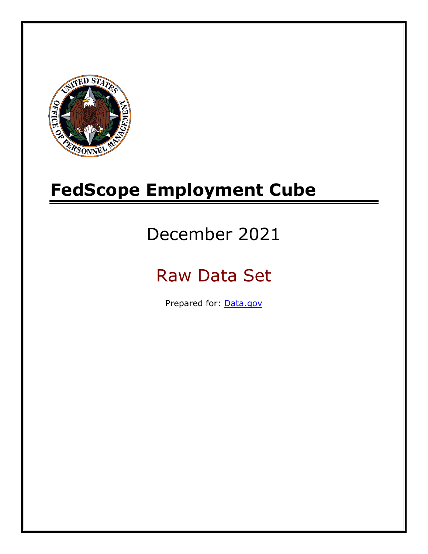

# **FedScope Employment Cube**

# December 2021

# Raw Data Set

Prepared for: [Data.gov](http://www.data.gov/)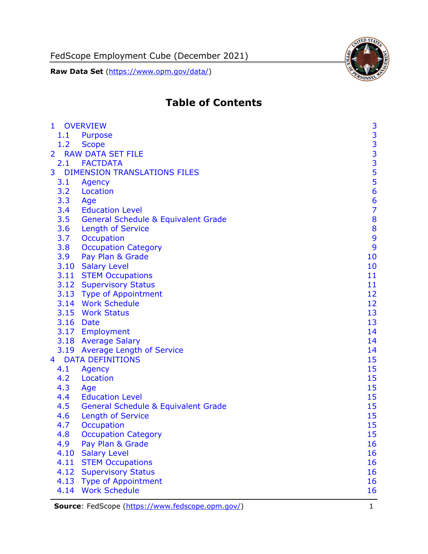FedScope Employment Cube (December 2021)

**Raw Data Set** [\(https://www.opm.gov/data/\)](https://www.opm.gov/data/)



# **Table of Contents**

| $\begin{array}{c} 3 \\ 3 \\ 3 \end{array}$<br>1.1<br>Purpose<br>1.2<br><b>Scope</b><br><b>RAW DATA SET FILE</b><br>$\overline{2}$<br>2.1 FACTDATA<br>$\frac{5}{5}$<br><b>DIMENSION TRANSLATIONS FILES</b><br>3<br>3.1<br>Agency<br>3.2<br>Location<br>3.3<br>Age<br>3.4<br><b>Education Level</b><br>3.5<br><b>General Schedule &amp; Equivalent Grade</b><br><b>Length of Service</b><br>3.6<br>3.7<br>Occupation<br><b>Occupation Category</b><br>3.8<br>3.9<br>Pay Plan & Grade | $\mathbf{1}$ | <b>OVERVIEW</b> | 3               |
|------------------------------------------------------------------------------------------------------------------------------------------------------------------------------------------------------------------------------------------------------------------------------------------------------------------------------------------------------------------------------------------------------------------------------------------------------------------------------------|--------------|-----------------|-----------------|
|                                                                                                                                                                                                                                                                                                                                                                                                                                                                                    |              |                 |                 |
|                                                                                                                                                                                                                                                                                                                                                                                                                                                                                    |              |                 |                 |
|                                                                                                                                                                                                                                                                                                                                                                                                                                                                                    |              |                 |                 |
|                                                                                                                                                                                                                                                                                                                                                                                                                                                                                    |              |                 |                 |
|                                                                                                                                                                                                                                                                                                                                                                                                                                                                                    |              |                 |                 |
|                                                                                                                                                                                                                                                                                                                                                                                                                                                                                    |              |                 |                 |
|                                                                                                                                                                                                                                                                                                                                                                                                                                                                                    |              |                 |                 |
|                                                                                                                                                                                                                                                                                                                                                                                                                                                                                    |              |                 | $6\phantom{1}6$ |
|                                                                                                                                                                                                                                                                                                                                                                                                                                                                                    |              |                 | $\overline{7}$  |
|                                                                                                                                                                                                                                                                                                                                                                                                                                                                                    |              |                 | 8               |
|                                                                                                                                                                                                                                                                                                                                                                                                                                                                                    |              |                 | 8               |
|                                                                                                                                                                                                                                                                                                                                                                                                                                                                                    |              |                 | $\mathbf{9}$    |
|                                                                                                                                                                                                                                                                                                                                                                                                                                                                                    |              |                 | 9               |
|                                                                                                                                                                                                                                                                                                                                                                                                                                                                                    |              |                 | 10              |
| 3.10 Salary Level                                                                                                                                                                                                                                                                                                                                                                                                                                                                  |              |                 | 10              |
| 3.11 STEM Occupations                                                                                                                                                                                                                                                                                                                                                                                                                                                              |              |                 | 11              |
| 3.12 Supervisory Status                                                                                                                                                                                                                                                                                                                                                                                                                                                            |              |                 | 11              |
| 3.13 Type of Appointment                                                                                                                                                                                                                                                                                                                                                                                                                                                           |              |                 | 12              |
| 3.14 Work Schedule                                                                                                                                                                                                                                                                                                                                                                                                                                                                 |              |                 | 12              |
| 3.15 Work Status                                                                                                                                                                                                                                                                                                                                                                                                                                                                   |              |                 | 13              |
| 3.16 Date                                                                                                                                                                                                                                                                                                                                                                                                                                                                          |              |                 | 13              |
| 3.17 Employment                                                                                                                                                                                                                                                                                                                                                                                                                                                                    |              |                 | 14              |
| 3.18 Average Salary                                                                                                                                                                                                                                                                                                                                                                                                                                                                |              |                 | 14              |
| 3.19 Average Length of Service                                                                                                                                                                                                                                                                                                                                                                                                                                                     |              |                 | 14              |
| <b>DATA DEFINITIONS</b><br>4                                                                                                                                                                                                                                                                                                                                                                                                                                                       |              |                 | 15              |
| 4.1<br>Agency                                                                                                                                                                                                                                                                                                                                                                                                                                                                      |              |                 | 15              |
| 4.2<br>Location                                                                                                                                                                                                                                                                                                                                                                                                                                                                    |              |                 | 15              |
| 4.3<br>Age                                                                                                                                                                                                                                                                                                                                                                                                                                                                         |              |                 | 15              |
| 4.4<br><b>Education Level</b>                                                                                                                                                                                                                                                                                                                                                                                                                                                      |              |                 | 15              |
| 4.5<br><b>General Schedule &amp; Equivalent Grade</b>                                                                                                                                                                                                                                                                                                                                                                                                                              |              |                 | 15              |
| 4.6<br><b>Length of Service</b>                                                                                                                                                                                                                                                                                                                                                                                                                                                    |              |                 | 15              |
| 4.7<br>Occupation                                                                                                                                                                                                                                                                                                                                                                                                                                                                  |              |                 | 15              |
| 4.8<br><b>Occupation Category</b>                                                                                                                                                                                                                                                                                                                                                                                                                                                  |              |                 | 15              |
| 4.9<br>Pay Plan & Grade                                                                                                                                                                                                                                                                                                                                                                                                                                                            |              |                 | 16              |
| 4.10<br><b>Salary Level</b>                                                                                                                                                                                                                                                                                                                                                                                                                                                        |              |                 | 16              |
| 4.11<br><b>STEM Occupations</b>                                                                                                                                                                                                                                                                                                                                                                                                                                                    |              |                 | 16              |
| 4.12<br><b>Supervisory Status</b>                                                                                                                                                                                                                                                                                                                                                                                                                                                  |              |                 | 16              |
| 4.13<br><b>Type of Appointment</b>                                                                                                                                                                                                                                                                                                                                                                                                                                                 |              |                 | 16              |
| <b>Work Schedule</b><br>4.14                                                                                                                                                                                                                                                                                                                                                                                                                                                       |              |                 | 16              |

**Source**: FedScope [\(https://www.fedscope.opm.gov/\)](https://www.fedscope.opm.gov/) 1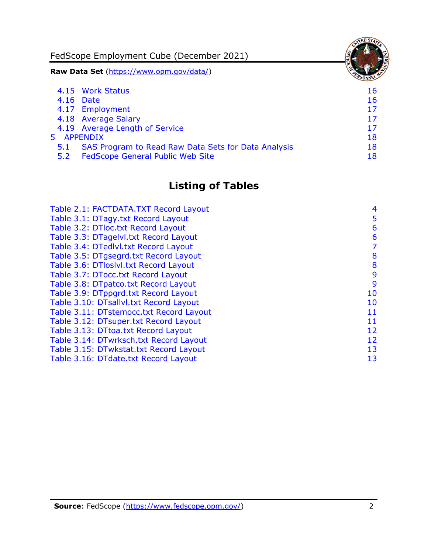FedScope Employment Cube (December 2021) **Raw Data Set** [\(https://www.opm.gov/data/\)](https://www.opm.gov/data/) 4.15 [Work Status](#page-16-6) 16 4.16 [Date](#page-16-7) 16 and 16 and 16 and 16 and 16 and 16 and 16 and 16 and 16 and 16 and 16 and 16 and 16 and 16 and 16 4.17 [Employment](#page-17-0) 17 4.18 [Average Salary](#page-17-1) 17 4.19 [Average Length of Service](#page-17-2) 17 and 17 5 [APPENDIX](#page-18-0) 18 5.1 [SAS Program to Read Raw Data Sets for Data Analysis](#page-18-1) 18 5.2 [FedScope General Public Web Site](#page-18-2) 18 and 18

# **Listing of Tables**

| Table 2.1: FACTDATA.TXT Record Layout   | 4  |
|-----------------------------------------|----|
| Table 3.1: DTagy.txt Record Layout      | 5  |
| Table 3.2: DTloc.txt Record Layout      | 6  |
| Table 3.3: DTagelvl.txt Record Layout   | 6  |
| Table 3.4: DTedlvl.txt Record Layout    | 7  |
| Table 3.5: DTgsegrd.txt Record Layout   | 8  |
| Table 3.6: DTloslvl.txt Record Layout   | 8  |
| Table 3.7: DTocc.txt Record Layout      | 9  |
| Table 3.8: DTpatco.txt Record Layout    | 9  |
| Table 3.9: DTppgrd.txt Record Layout    | 10 |
| Table 3.10: DTsallvl.txt Record Layout  | 10 |
| Table 3.11: DTstemocc.txt Record Layout | 11 |
| Table 3.12: DTsuper.txt Record Layout   | 11 |
| Table 3.13: DTtoa.txt Record Layout     | 12 |
| Table 3.14: DTwrksch.txt Record Layout  | 12 |
| Table 3.15: DTwkstat.txt Record Layout  | 13 |
| Table 3.16: DTdate.txt Record Layout    | 13 |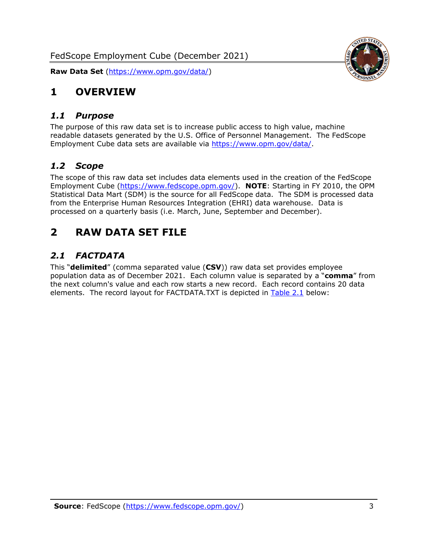

### <span id="page-3-0"></span>**1 OVERVIEW**

#### <span id="page-3-1"></span>*1.1 Purpose*

The purpose of this raw data set is to increase public access to high value, machine readable datasets generated by the U.S. Office of Personnel Management. The FedScope Employment Cube data sets are available via [https://www.opm.gov/data/.](https://www.opm.gov/data/)

#### <span id="page-3-2"></span>*1.2 Scope*

The scope of this raw data set includes data elements used in the creation of the FedScope Employment Cube [\(https://www.fedscope.opm.gov/\)](https://www.fedscope.opm.gov/). **NOTE**: Starting in FY 2010, the OPM Statistical Data Mart (SDM) is the source for all FedScope data. The SDM is processed data from the Enterprise Human Resources Integration (EHRI) data warehouse. Data is processed on a quarterly basis (i.e. March, June, September and December).

### <span id="page-3-3"></span>**2 RAW DATA SET FILE**

#### <span id="page-3-4"></span>*2.1 FACTDATA*

This "**delimited**" (comma separated value (**CSV**)) raw data set provides employee population data as of December 2021. Each column value is separated by a "**comma**" from the next column's value and each row starts a new record. Each record contains 20 data elements. The record layout for FACTDATA.TXT is depicted in [Table 2.1](#page-4-0) below: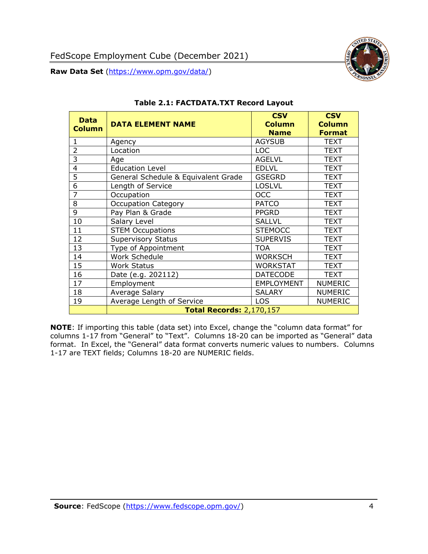

<span id="page-4-0"></span>

| <b>Data</b><br><b>Column</b> | <b>DATA ELEMENT NAME</b>            | <b>CSV</b><br><b>Column</b><br><b>Name</b> | <b>CSV</b><br><b>Column</b><br><b>Format</b> |
|------------------------------|-------------------------------------|--------------------------------------------|----------------------------------------------|
| $\mathbf{1}$                 | Agency                              | <b>AGYSUB</b>                              | <b>TEXT</b>                                  |
| $\overline{2}$               | Location                            | <b>LOC</b>                                 | <b>TEXT</b>                                  |
| 3                            | Age                                 | <b>AGELVL</b>                              | <b>TEXT</b>                                  |
| 4                            | <b>Education Level</b>              | <b>EDLVL</b>                               | <b>TEXT</b>                                  |
| 5                            | General Schedule & Equivalent Grade | <b>GSEGRD</b>                              | <b>TEXT</b>                                  |
| 6                            | Length of Service                   | <b>LOSLVL</b>                              | <b>TEXT</b>                                  |
| 7                            | Occupation                          | <b>OCC</b>                                 | <b>TEXT</b>                                  |
| 8                            | <b>Occupation Category</b>          | <b>PATCO</b>                               | <b>TEXT</b>                                  |
| 9                            | Pay Plan & Grade                    | <b>PPGRD</b>                               | <b>TEXT</b>                                  |
| 10                           | Salary Level                        | <b>SALLVL</b>                              | <b>TEXT</b>                                  |
| 11                           | <b>STEM Occupations</b>             | <b>STEMOCC</b>                             | <b>TEXT</b>                                  |
| 12                           | <b>Supervisory Status</b>           | <b>SUPERVIS</b>                            | <b>TEXT</b>                                  |
| 13                           | Type of Appointment                 | <b>TOA</b>                                 | <b>TEXT</b>                                  |
| 14                           | Work Schedule                       | <b>WORKSCH</b>                             | <b>TEXT</b>                                  |
| 15                           | <b>Work Status</b>                  | <b>WORKSTAT</b>                            | <b>TEXT</b>                                  |
| 16                           | Date (e.g. 202112)                  | <b>DATECODE</b>                            | <b>TEXT</b>                                  |
| 17                           | Employment                          | <b>EMPLOYMENT</b>                          | <b>NUMERIC</b>                               |
| 18                           | Average Salary                      | <b>SALARY</b>                              | <b>NUMERIC</b>                               |
| 19                           | Average Length of Service           | <b>LOS</b>                                 | <b>NUMERIC</b>                               |
|                              | <b>Total Records: 2,170,157</b>     |                                            |                                              |

#### **Table 2.1: FACTDATA.TXT Record Layout**

**NOTE**: If importing this table (data set) into Excel, change the "column data format" for columns 1-17 from "General" to "Text". Columns 18-20 can be imported as "General" data format. In Excel, the "General" data format converts numeric values to numbers. Columns 1-17 are TEXT fields; Columns 18-20 are NUMERIC fields.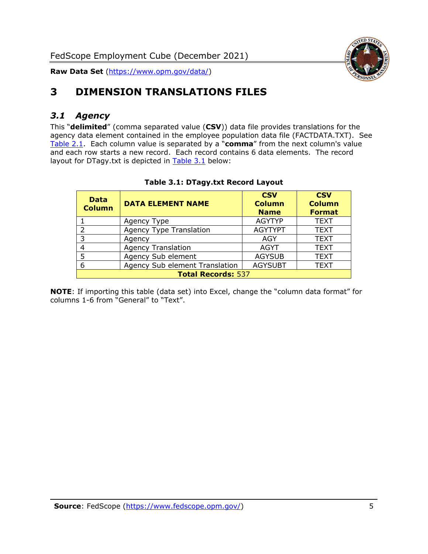

### <span id="page-5-0"></span>**3 DIMENSION TRANSLATIONS FILES**

#### <span id="page-5-1"></span>*3.1 Agency*

This "**delimited**" (comma separated value (**CSV**)) data file provides translations for the agency data element contained in the employee population data file (FACTDATA.TXT). See [Table 2.1.](#page-4-0) Each column value is separated by a "**comma**" from the next column's value and each row starts a new record. Each record contains 6 data elements. The record layout for DTagy.txt is depicted in **[Table 3.1](#page-5-2)** below:

<span id="page-5-2"></span>

| <b>Data</b><br><b>Column</b> | <b>DATA ELEMENT NAME</b>       | <b>CSV</b><br><b>Column</b><br><b>Name</b> | <b>CSV</b><br><b>Column</b><br><b>Format</b> |
|------------------------------|--------------------------------|--------------------------------------------|----------------------------------------------|
|                              | Agency Type                    | <b>AGYTYP</b>                              | <b>TEXT</b>                                  |
|                              | <b>Agency Type Translation</b> | <b>AGYTYPT</b>                             | <b>TEXT</b>                                  |
| २                            | Agency                         | AGY                                        | <b>TEXT</b>                                  |
|                              | <b>Agency Translation</b>      | <b>AGYT</b>                                | <b>TEXT</b>                                  |
|                              | Agency Sub element             | <b>AGYSUB</b>                              | <b>TEXT</b>                                  |
| 6                            | Agency Sub element Translation | <b>AGYSUBT</b>                             | <b>TEXT</b>                                  |
| <b>Total Records: 537</b>    |                                |                                            |                                              |

#### **Table 3.1: DTagy.txt Record Layout**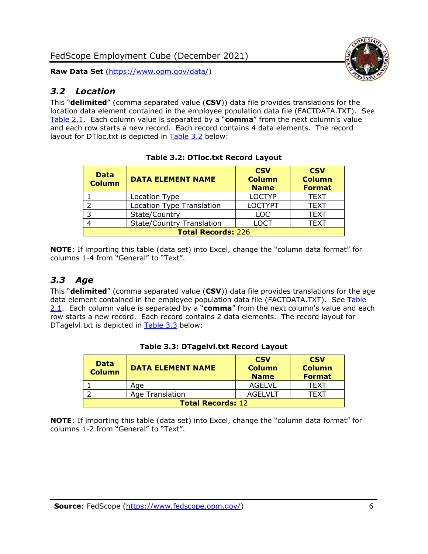#### <span id="page-6-0"></span>*3.2 Location*

This "**delimited**" (comma separated value (**CSV**)) data file provides translations for the location data element contained in the employee population data file (FACTDATA.TXT). See [Table 2.1.](#page-4-0) Each column value is separated by a "**comma**" from the next column's value and each row starts a new record. Each record contains 4 data elements. The record layout for DTloc.txt is depicted in [Table 3.2](#page-6-2) below:

<span id="page-6-2"></span>

| <b>Data</b><br><b>Column</b> | <b>DATA ELEMENT NAME</b>         | <b>CSV</b><br><b>Column</b><br><b>Name</b> | <b>CSV</b><br><b>Column</b><br><b>Format</b> |  |
|------------------------------|----------------------------------|--------------------------------------------|----------------------------------------------|--|
|                              | Location Type                    | <b>LOCTYP</b>                              | <b>TEXT</b>                                  |  |
|                              | <b>Location Type Translation</b> | <b>LOCTYPT</b>                             | <b>TEXT</b>                                  |  |
|                              | State/Country                    | <b>LOC</b>                                 | <b>TEXT</b>                                  |  |
|                              | <b>State/Country Translation</b> | LOCT                                       | <b>TEXT</b>                                  |  |
| <b>Total Records: 226</b>    |                                  |                                            |                                              |  |

**Table 3.2: DTloc.txt Record Layout**

**NOTE**: If importing this table (data set) into Excel, change the "column data format" for columns 1-4 from "General" to "Text".

#### <span id="page-6-1"></span>*3.3 Age*

This "**delimited**" (comma separated value (**CSV**)) data file provides translations for the age data element contained in the employee population data file (FACTDATA.TXT). See Table [2.1.](#page-4-0) Each column value is separated by a "**comma**" from the next column's value and each row starts a new record. Each record contains 2 data elements. The record layout for DTagelvl.txt is depicted in [Table 3.3](#page-6-3) below:

<span id="page-6-3"></span>

| <b>Data</b><br><b>Column</b> | <b>DATA ELEMENT NAME</b> | <b>CSV</b><br><b>Column</b><br><b>Name</b> | <b>CSV</b><br><b>Column</b><br><b>Format</b> |
|------------------------------|--------------------------|--------------------------------------------|----------------------------------------------|
|                              | Age                      | AGELVL                                     | TFXT                                         |
|                              | Age Translation          | AGEL VLT                                   | TFXT                                         |
| <b>Total Records: 12</b>     |                          |                                            |                                              |

#### **Table 3.3: DTagelvl.txt Record Layout**

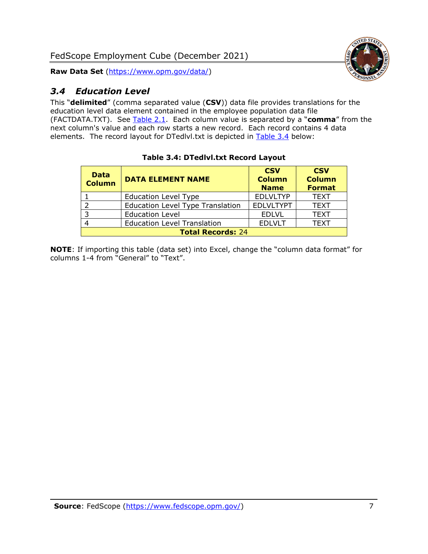FedScope Employment Cube (December 2021)

**Raw Data Set** [\(https://www.opm.gov/data/\)](https://www.opm.gov/data/)

### <span id="page-7-0"></span>*3.4 Education Level*

This "**delimited**" (comma separated value (**CSV**)) data file provides translations for the education level data element contained in the employee population data file (FACTDATA.TXT). See [Table 2.1.](#page-4-0) Each column value is separated by a "**comma**" from the next column's value and each row starts a new record. Each record contains 4 data elements. The record layout for DTedlvl.txt is depicted in [Table 3.4](#page-7-1) below:

<span id="page-7-1"></span>

| <b>Data</b><br><b>Column</b> | <b>DATA ELEMENT NAME</b>                | <b>CSV</b><br><b>Column</b><br><b>Name</b> | <b>CSV</b><br><b>Column</b><br><b>Format</b> |
|------------------------------|-----------------------------------------|--------------------------------------------|----------------------------------------------|
|                              | <b>Education Level Type</b>             | <b>EDLVLTYP</b>                            | <b>TEXT</b>                                  |
|                              | <b>Education Level Type Translation</b> | <b>EDLVLTYPT</b>                           | <b>TEXT</b>                                  |
|                              | <b>Education Level</b>                  | <b>EDLVL</b>                               | <b>TEXT</b>                                  |
|                              | <b>Education Level Translation</b>      | <b>EDLVLT</b>                              | <b>TEXT</b>                                  |
| <b>Total Records: 24</b>     |                                         |                                            |                                              |

#### **Table 3.4: DTedlvl.txt Record Layout**

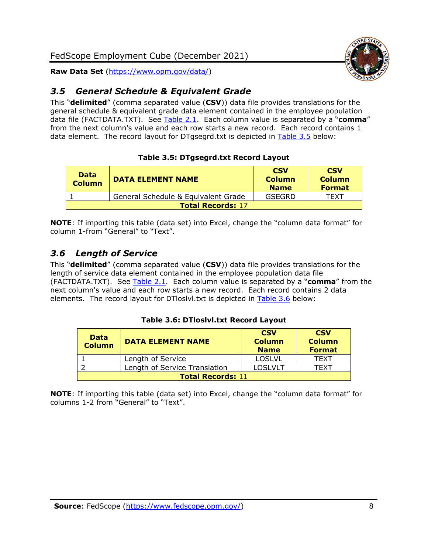#### <span id="page-8-0"></span>*3.5 General Schedule & Equivalent Grade*

This "**delimited**" (comma separated value (**CSV**)) data file provides translations for the general schedule & equivalent grade data element contained in the employee population data file (FACTDATA.TXT). See [Table 2.1.](#page-4-0) Each column value is separated by a "**comma**" from the next column's value and each row starts a new record. Each record contains 1 data element. The record layout for DTgsegrd.txt is depicted in [Table 3.5](#page-8-2) below:

#### **Table 3.5: DTgsegrd.txt Record Layout**

<span id="page-8-2"></span>

| <b>Data</b><br>Column | <b>DATA ELEMENT NAME</b>            | <b>CSV</b><br><b>Column</b><br><b>Name</b> | <b>CSV</b><br><b>Column</b><br><b>Format</b> |  |
|-----------------------|-------------------------------------|--------------------------------------------|----------------------------------------------|--|
|                       | General Schedule & Equivalent Grade | GSEGRD                                     | TFXT                                         |  |
|                       | <b>Total Records: 17</b>            |                                            |                                              |  |

**NOTE**: If importing this table (data set) into Excel, change the "column data format" for column 1-from "General" to "Text".

#### <span id="page-8-1"></span>*3.6 Length of Service*

This "**delimited**" (comma separated value (**CSV**)) data file provides translations for the length of service data element contained in the employee population data file (FACTDATA.TXT). See [Table 2.1.](#page-4-0) Each column value is separated by a "**comma**" from the next column's value and each row starts a new record. Each record contains 2 data elements. The record layout for DTloslvl.txt is depicted in [Table 3.6](#page-8-3) below:

#### **Table 3.6: DTloslvl.txt Record Layout**

<span id="page-8-3"></span>

| <b>Data</b><br><b>Column</b> | <b>DATA ELEMENT NAME</b>      | <b>CSV</b><br><b>Column</b><br><b>Name</b> | <b>CSV</b><br><b>Column</b><br><b>Format</b> |
|------------------------------|-------------------------------|--------------------------------------------|----------------------------------------------|
|                              | Length of Service             | <b>LOSLVL</b>                              | TFXT                                         |
|                              | Length of Service Translation | <b>LOSLVLT</b>                             | TEXT                                         |
| <b>Total Records: 11</b>     |                               |                                            |                                              |

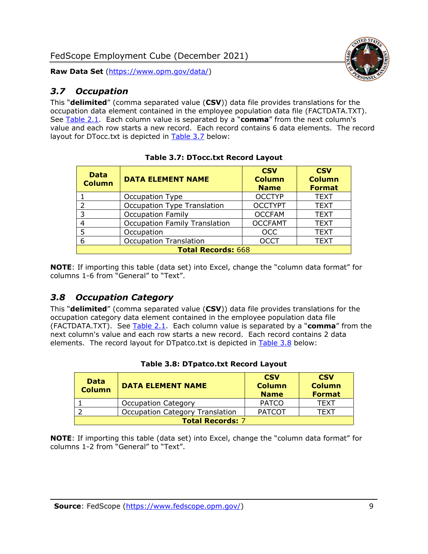#### <span id="page-9-0"></span>*3.7 Occupation*

This "**delimited**" (comma separated value (**CSV**)) data file provides translations for the occupation data element contained in the employee population data file (FACTDATA.TXT). See [Table 2.1.](#page-4-0) Each column value is separated by a "**comma**" from the next column's value and each row starts a new record. Each record contains 6 data elements. The record layout for DTocc.txt is depicted in [Table 3.7](#page-9-2) below:

<span id="page-9-2"></span>

| <b>Data</b><br><b>Column</b> | <b>DATA ELEMENT NAME</b>             | <b>CSV</b><br><b>Column</b><br><b>Name</b> | <b>CSV</b><br><b>Column</b><br><b>Format</b> |  |  |
|------------------------------|--------------------------------------|--------------------------------------------|----------------------------------------------|--|--|
|                              | Occupation Type                      | <b>OCCTYP</b>                              | <b>TEXT</b>                                  |  |  |
| 2                            | Occupation Type Translation          | <b>OCCTYPT</b>                             | <b>TEXT</b>                                  |  |  |
| 3                            | <b>Occupation Family</b>             | <b>OCCFAM</b>                              | <b>TEXT</b>                                  |  |  |
| 4                            | <b>Occupation Family Translation</b> | <b>OCCFAMT</b>                             | <b>TEXT</b>                                  |  |  |
| 5                            | Occupation                           | <b>OCC</b>                                 | <b>TEXT</b>                                  |  |  |
| 6                            | <b>Occupation Translation</b>        | <b>OCCT</b>                                | <b>TEXT</b>                                  |  |  |
|                              | <b>Total Records: 668</b>            |                                            |                                              |  |  |

| <b>Table 3.7: DTocc.txt Record Layout</b> |  |
|-------------------------------------------|--|
|-------------------------------------------|--|

**NOTE**: If importing this table (data set) into Excel, change the "column data format" for columns 1-6 from "General" to "Text".

#### <span id="page-9-1"></span>*3.8 Occupation Category*

This "**delimited**" (comma separated value (**CSV**)) data file provides translations for the occupation category data element contained in the employee population data file (FACTDATA.TXT). See [Table 2.1.](#page-4-0) Each column value is separated by a "**comma**" from the next column's value and each row starts a new record. Each record contains 2 data elements. The record layout for DTpatco.txt is depicted in [Table 3.8](#page-9-3) below:

<span id="page-9-3"></span>

| <b>Data</b><br><b>Column</b> | <b>DATA ELEMENT NAME</b>               | <b>CSV</b><br><b>Column</b><br><b>Name</b> | <b>CSV</b><br><b>Column</b><br><b>Format</b> |
|------------------------------|----------------------------------------|--------------------------------------------|----------------------------------------------|
|                              | <b>Occupation Category</b>             | <b>PATCO</b>                               | <b>TEXT</b>                                  |
|                              | <b>Occupation Category Translation</b> | <b>PATCOT</b>                              | TFXT                                         |
| <b>Total Records: 7</b>      |                                        |                                            |                                              |

#### **Table 3.8: DTpatco.txt Record Layout**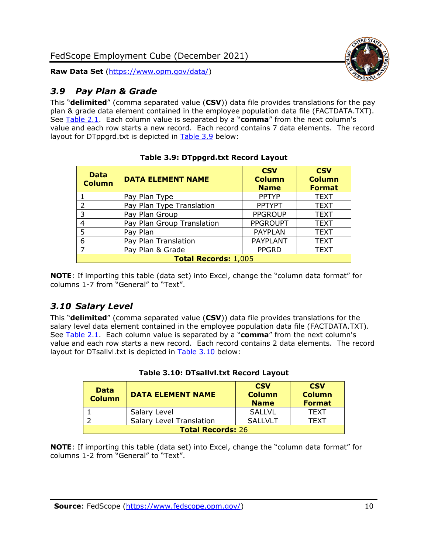#### <span id="page-10-0"></span>*3.9 Pay Plan & Grade*

This "**delimited**" (comma separated value (**CSV**)) data file provides translations for the pay plan & grade data element contained in the employee population data file (FACTDATA.TXT). See [Table 2.1.](#page-4-0) Each column value is separated by a "**comma**" from the next column's value and each row starts a new record. Each record contains 7 data elements. The record layout for DTppgrd.txt is depicted in [Table 3.9](#page-10-2) below:

<span id="page-10-2"></span>

| <b>Data</b><br><b>Column</b> | <b>DATA ELEMENT NAME</b>   | <b>CSV</b><br><b>Column</b><br><b>Name</b> | <b>CSV</b><br><b>Column</b><br><b>Format</b> |
|------------------------------|----------------------------|--------------------------------------------|----------------------------------------------|
|                              | Pay Plan Type              | <b>PPTYP</b>                               | <b>TEXT</b>                                  |
| 2                            | Pay Plan Type Translation  | <b>PPTYPT</b>                              | <b>TEXT</b>                                  |
| 3                            | Pay Plan Group             | <b>PPGROUP</b>                             | <b>TEXT</b>                                  |
| 4                            | Pay Plan Group Translation | <b>PPGROUPT</b>                            | <b>TEXT</b>                                  |
| 5                            | Pay Plan                   | <b>PAYPLAN</b>                             | <b>TEXT</b>                                  |
| 6                            | Pay Plan Translation       | <b>PAYPLANT</b>                            | <b>TEXT</b>                                  |
| $\overline{ }$               | Pay Plan & Grade           | <b>PPGRD</b>                               | <b>TEXT</b>                                  |
| <b>Total Records: 1,005</b>  |                            |                                            |                                              |

**Table 3.9: DTppgrd.txt Record Layout**

**NOTE**: If importing this table (data set) into Excel, change the "column data format" for columns 1-7 from "General" to "Text".

#### <span id="page-10-1"></span>*3.10 Salary Level*

This "**delimited**" (comma separated value (**CSV**)) data file provides translations for the salary level data element contained in the employee population data file (FACTDATA.TXT). See [Table 2.1.](#page-4-0) Each column value is separated by a "**comma**" from the next column's value and each row starts a new record. Each record contains 2 data elements. The record layout for DTsallvl.txt is depicted in [Table 3.10](#page-10-3) below:

<span id="page-10-3"></span>

| <b>Data</b><br><b>Column</b> | <b>DATA ELEMENT NAME</b>        | <b>CSV</b><br><b>Column</b><br><b>Name</b> | <b>CSV</b><br><b>Column</b><br><b>Format</b> |
|------------------------------|---------------------------------|--------------------------------------------|----------------------------------------------|
|                              | Salary Level                    | <b>SALLVL</b>                              | <b>TFXT</b>                                  |
|                              | <b>Salary Level Translation</b> | SALLVLT                                    | TFXT                                         |
| <b>Total Records: 26</b>     |                                 |                                            |                                              |

|  | Table 3.10: DTsallvl.txt Record Layout |  |  |
|--|----------------------------------------|--|--|
|--|----------------------------------------|--|--|

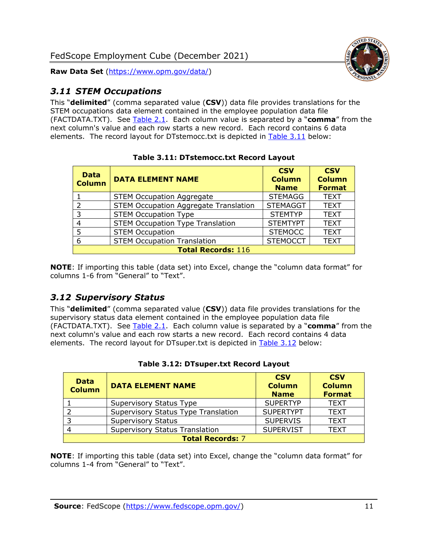

#### <span id="page-11-0"></span>*3.11 STEM Occupations*

This "**delimited**" (comma separated value (**CSV**)) data file provides translations for the STEM occupations data element contained in the employee population data file (FACTDATA.TXT). See [Table 2.1.](#page-4-0) Each column value is separated by a "**comma**" from the next column's value and each row starts a new record. Each record contains 6 data elements. The record layout for DTstemocc.txt is depicted in [Table 3.11](#page-11-2) below:

<span id="page-11-2"></span>

| <b>Data</b><br><b>Column</b> | <b>DATA ELEMENT NAME</b>                     | <b>CSV</b><br><b>Column</b><br><b>Name</b> | <b>CSV</b><br><b>Column</b><br><b>Format</b> |
|------------------------------|----------------------------------------------|--------------------------------------------|----------------------------------------------|
|                              | <b>STEM Occupation Aggregate</b>             | <b>STEMAGG</b>                             | <b>TEXT</b>                                  |
| $\mathcal{P}$                | <b>STEM Occupation Aggregate Translation</b> | <b>STEMAGGT</b>                            | <b>TEXT</b>                                  |
| 3                            | <b>STEM Occupation Type</b>                  | <b>STEMTYP</b>                             | <b>TEXT</b>                                  |
| 4                            | <b>STEM Occupation Type Translation</b>      | <b>STEMTYPT</b>                            | <b>TEXT</b>                                  |
| 5                            | <b>STEM Occupation</b>                       | <b>STEMOCC</b>                             | <b>TEXT</b>                                  |
| 6                            | <b>STEM Occupation Translation</b>           | <b>STEMOCCT</b>                            | <b>TEXT</b>                                  |
| <b>Total Records: 116</b>    |                                              |                                            |                                              |

**Table 3.11: DTstemocc.txt Record Layout**

**NOTE**: If importing this table (data set) into Excel, change the "column data format" for columns 1-6 from "General" to "Text".

#### <span id="page-11-1"></span>*3.12 Supervisory Status*

This "**delimited**" (comma separated value (**CSV**)) data file provides translations for the supervisory status data element contained in the employee population data file (FACTDATA.TXT). See [Table 2.1.](#page-4-0) Each column value is separated by a "**comma**" from the next column's value and each row starts a new record. Each record contains 4 data elements. The record layout for DTsuper.txt is depicted in [Table 3.12](#page-11-3) below:

<span id="page-11-3"></span>

| <b>Data</b><br><b>Column</b> | <b>DATA ELEMENT NAME</b>              | <b>CSV</b><br><b>Column</b><br><b>Name</b> | <b>CSV</b><br><b>Column</b><br><b>Format</b> |
|------------------------------|---------------------------------------|--------------------------------------------|----------------------------------------------|
|                              | Supervisory Status Type               | <b>SUPERTYP</b>                            | <b>TEXT</b>                                  |
|                              | Supervisory Status Type Translation   | <b>SUPERTYPT</b>                           | <b>TEXT</b>                                  |
|                              | <b>Supervisory Status</b>             | <b>SUPERVIS</b>                            | <b>TEXT</b>                                  |
|                              | <b>Supervisory Status Translation</b> | <b>SUPERVIST</b>                           | <b>TEXT</b>                                  |
| <b>Total Records: 7</b>      |                                       |                                            |                                              |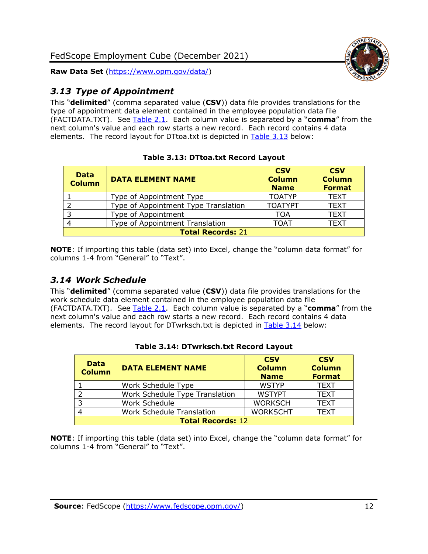

#### <span id="page-12-0"></span>*3.13 Type of Appointment*

This "**delimited**" (comma separated value (**CSV**)) data file provides translations for the type of appointment data element contained in the employee population data file (FACTDATA.TXT). See [Table 2.1.](#page-4-0) Each column value is separated by a "**comma**" from the next column's value and each row starts a new record. Each record contains 4 data elements. The record layout for DTtoa.txt is depicted in [Table 3.13](#page-12-2) below:

<span id="page-12-2"></span>

| <b>Data</b><br><b>Column</b> | <b>DATA ELEMENT NAME</b>             | <b>CSV</b><br><b>Column</b><br><b>Name</b> | <b>CSV</b><br><b>Column</b><br><b>Format</b> |
|------------------------------|--------------------------------------|--------------------------------------------|----------------------------------------------|
|                              | Type of Appointment Type             | <b>TOATYP</b>                              | <b>TEXT</b>                                  |
|                              | Type of Appointment Type Translation | <b>TOATYPT</b>                             | <b>TEXT</b>                                  |
| 3                            | Type of Appointment                  | TOA                                        | <b>TEXT</b>                                  |
|                              | Type of Appointment Translation      | <b>TOAT</b>                                | <b>TEXT</b>                                  |
| <b>Total Records: 21</b>     |                                      |                                            |                                              |

#### **Table 3.13: DTtoa.txt Record Layout**

**NOTE**: If importing this table (data set) into Excel, change the "column data format" for columns 1-4 from "General" to "Text".

#### <span id="page-12-1"></span>*3.14 Work Schedule*

This "**delimited**" (comma separated value (**CSV**)) data file provides translations for the work schedule data element contained in the employee population data file (FACTDATA.TXT). See [Table 2.1.](#page-4-0) Each column value is separated by a "**comma**" from the next column's value and each row starts a new record. Each record contains 4 data elements. The record layout for DTwrksch.txt is depicted in [Table 3.14](#page-12-3) below:

<span id="page-12-3"></span>

| <b>Data</b><br><b>Column</b> | <b>DATA ELEMENT NAME</b>         | <b>CSV</b><br><b>Column</b><br><b>Name</b> | <b>CSV</b><br><b>Column</b><br><b>Format</b> |
|------------------------------|----------------------------------|--------------------------------------------|----------------------------------------------|
|                              | Work Schedule Type               | <b>WSTYP</b>                               | <b>TEXT</b>                                  |
|                              | Work Schedule Type Translation   | <b>WSTYPT</b>                              | <b>TEXT</b>                                  |
| $\overline{3}$               | Work Schedule                    | <b>WORKSCH</b>                             | <b>TEXT</b>                                  |
|                              | <b>Work Schedule Translation</b> | <b>WORKSCHT</b>                            | <b>TEXT</b>                                  |
| <b>Total Records: 12</b>     |                                  |                                            |                                              |

#### **Table 3.14: DTwrksch.txt Record Layout**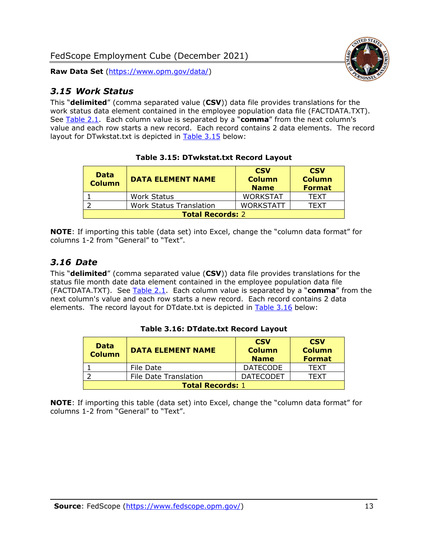#### <span id="page-13-0"></span>*3.15 Work Status*

This "**delimited**" (comma separated value (**CSV**)) data file provides translations for the work status data element contained in the employee population data file (FACTDATA.TXT). See [Table 2.1.](#page-4-0) Each column value is separated by a "**comma**" from the next column's value and each row starts a new record. Each record contains 2 data elements. The record layout for DTwkstat.txt is depicted in [Table 3.15](#page-13-2) below:

<span id="page-13-2"></span>

| <b>Data</b><br><b>Column</b> | <b>DATA ELEMENT NAME</b>       | <b>CSV</b><br><b>Column</b><br><b>Name</b> | <b>CSV</b><br><b>Column</b><br><b>Format</b> |
|------------------------------|--------------------------------|--------------------------------------------|----------------------------------------------|
|                              | <b>Work Status</b>             | <b>WORKSTAT</b>                            | <b>TFXT</b>                                  |
|                              | <b>Work Status Translation</b> | <b>WORKSTATT</b>                           | TFXT                                         |
| <b>Total Records: 2</b>      |                                |                                            |                                              |

**Table 3.15: DTwkstat.txt Record Layout**

**NOTE**: If importing this table (data set) into Excel, change the "column data format" for columns 1-2 from "General" to "Text".

#### <span id="page-13-1"></span>*3.16 Date*

This "**delimited**" (comma separated value (**CSV**)) data file provides translations for the status file month date data element contained in the employee population data file (FACTDATA.TXT). See [Table 2.1.](#page-4-0) Each column value is separated by a "**comma**" from the next column's value and each row starts a new record. Each record contains 2 data elements. The record layout for DTdate.txt is depicted in [Table 3.16](#page-13-3) below:

<span id="page-13-3"></span>

| <b>Data</b><br><b>Column</b> | <b>DATA ELEMENT NAME</b>     | <b>CSV</b><br><b>Column</b><br><b>Name</b> | <b>CSV</b><br><b>Column</b><br><b>Format</b> |
|------------------------------|------------------------------|--------------------------------------------|----------------------------------------------|
|                              | File Date                    | <b>DATECODE</b>                            | <b>TFXT</b>                                  |
|                              | <b>File Date Translation</b> | <b>DATECODET</b>                           | TFXT                                         |
| <b>Total Records: 1</b>      |                              |                                            |                                              |

**Table 3.16: DTdate.txt Record Layout**

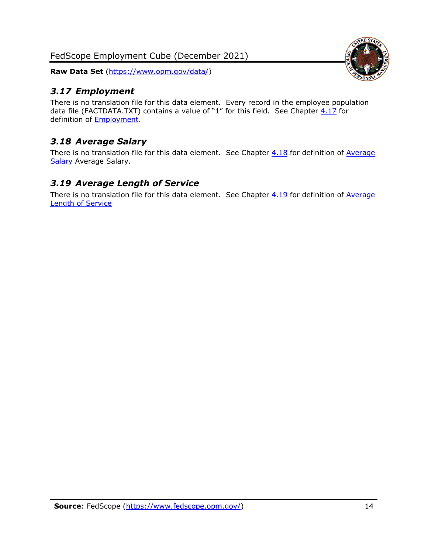FedScope Employment Cube (December 2021)

**Raw Data Set** [\(https://www.opm.gov/data/\)](https://www.opm.gov/data/)

#### <span id="page-14-0"></span>*3.17 Employment*

There is no translation file for this data element. Every record in the employee population data file (FACTDATA.TXT) contains a value of "1" for this field. See Chapter  $4.17$  for definition of [Employment.](#page-17-0)

#### <span id="page-14-1"></span>*3.18 Average Salary*

There is no translation file for this data element. See Chapter  $4.18$  for definition of Average [Salary](#page-17-1) [Average Salary.](#page-17-1)

#### <span id="page-14-2"></span>*3.19 Average Length of Service*

There is no translation file for this data element. See Chapter  $4.19$  for definition of Average [Length of Service](#page-17-2)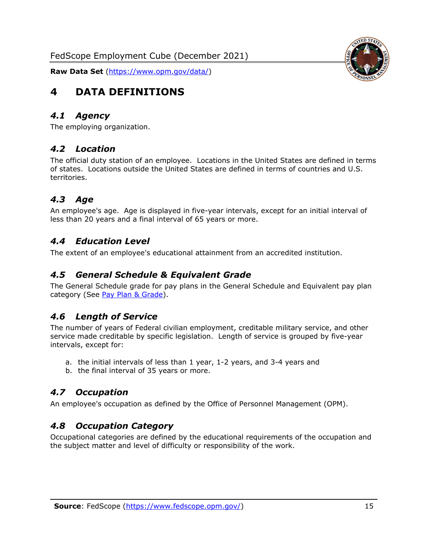

# <span id="page-15-0"></span>**4 DATA DEFINITIONS**

#### <span id="page-15-1"></span>*4.1 Agency*

<span id="page-15-2"></span>The employing organization.

#### *4.2 Location*

The official duty station of an employee. Locations in the United States are defined in terms of states. Locations outside the United States are defined in terms of countries and U.S. territories.

#### <span id="page-15-3"></span>*4.3 Age*

An employee's age. Age is displayed in five-year intervals, except for an initial interval of less than 20 years and a final interval of 65 years or more.

#### <span id="page-15-4"></span>*4.4 Education Level*

<span id="page-15-5"></span>The extent of an employee's educational attainment from an accredited institution.

#### *4.5 General Schedule & Equivalent Grade*

The General Schedule grade for pay plans in the General Schedule and Equivalent pay plan category (See [Pay Plan & Grade\)](#page-16-0).

#### <span id="page-15-6"></span>*4.6 Length of Service*

The number of years of Federal civilian employment, creditable military service, and other service made creditable by specific legislation. Length of service is grouped by five-year intervals, except for:

- a. the initial intervals of less than 1 year, 1-2 years, and 3-4 years and
- b. the final interval of 35 years or more.

#### <span id="page-15-7"></span>*4.7 Occupation*

<span id="page-15-8"></span>An employee's occupation as defined by the Office of Personnel Management (OPM).

#### *4.8 Occupation Category*

Occupational categories are defined by the educational requirements of the occupation and the subject matter and level of difficulty or responsibility of the work.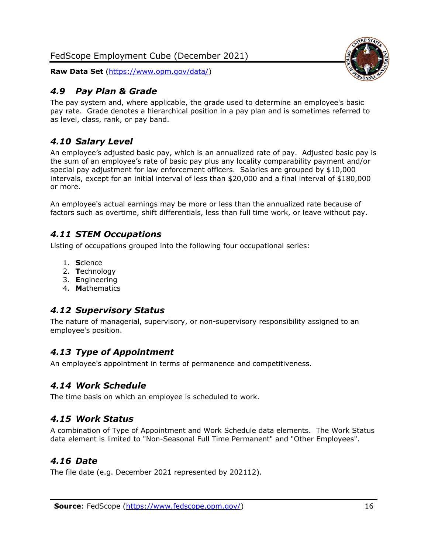#### <span id="page-16-0"></span>*4.9 Pay Plan & Grade*

The pay system and, where applicable, the grade used to determine an employee's basic pay rate. Grade denotes a hierarchical position in a pay plan and is sometimes referred to as level, class, rank, or pay band.

#### <span id="page-16-1"></span>*4.10 Salary Level*

An employee's adjusted basic pay, which is an annualized rate of pay. Adjusted basic pay is the sum of an employee's rate of basic pay plus any locality comparability payment and/or special pay adjustment for law enforcement officers. Salaries are grouped by \$10,000 intervals, except for an initial interval of less than \$20,000 and a final interval of \$180,000 or more.

An employee's actual earnings may be more or less than the annualized rate because of factors such as overtime, shift differentials, less than full time work, or leave without pay.

#### <span id="page-16-2"></span>*4.11 STEM Occupations*

Listing of occupations grouped into the following four occupational series:

- 1. **S**cience
- 2. **T**echnology
- 3. **E**ngineering
- 4. **M**athematics

#### <span id="page-16-3"></span>*4.12 Supervisory Status*

The nature of managerial, supervisory, or non-supervisory responsibility assigned to an employee's position.

#### <span id="page-16-4"></span>*4.13 Type of Appointment*

<span id="page-16-5"></span>An employee's appointment in terms of permanence and competitiveness.

#### *4.14 Work Schedule*

<span id="page-16-6"></span>The time basis on which an employee is scheduled to work.

#### *4.15 Work Status*

A combination of Type of Appointment and Work Schedule data elements. The Work Status data element is limited to "Non-Seasonal Full Time Permanent" and "Other Employees".

#### <span id="page-16-7"></span>*4.16 Date*

<span id="page-16-8"></span>The file date (e.g. December 2021 represented by 202112).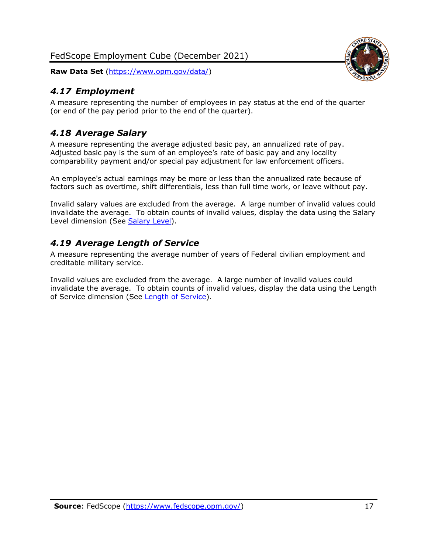#### <span id="page-17-0"></span>*4.17 Employment*

A measure representing the number of employees in pay status at the end of the quarter (or end of the pay period prior to the end of the quarter).

#### <span id="page-17-1"></span>*4.18 Average Salary*

A measure representing the average adjusted basic pay, an annualized rate of pay. Adjusted basic pay is the sum of an employee's rate of basic pay and any locality comparability payment and/or special pay adjustment for law enforcement officers.

An employee's actual earnings may be more or less than the annualized rate because of factors such as overtime, shift differentials, less than full time work, or leave without pay.

Invalid salary values are excluded from the average. A large number of invalid values could invalidate the average. To obtain counts of invalid values, display the data using the Salary Level dimension (See [Salary Level\)](#page-16-1).

#### <span id="page-17-2"></span>*4.19 Average Length of Service*

A measure representing the average number of years of Federal civilian employment and creditable military service.

Invalid values are excluded from the average. A large number of invalid values could invalidate the average. To obtain counts of invalid values, display the data using the Length of Service dimension (See [Length of Service\)](#page-15-6).